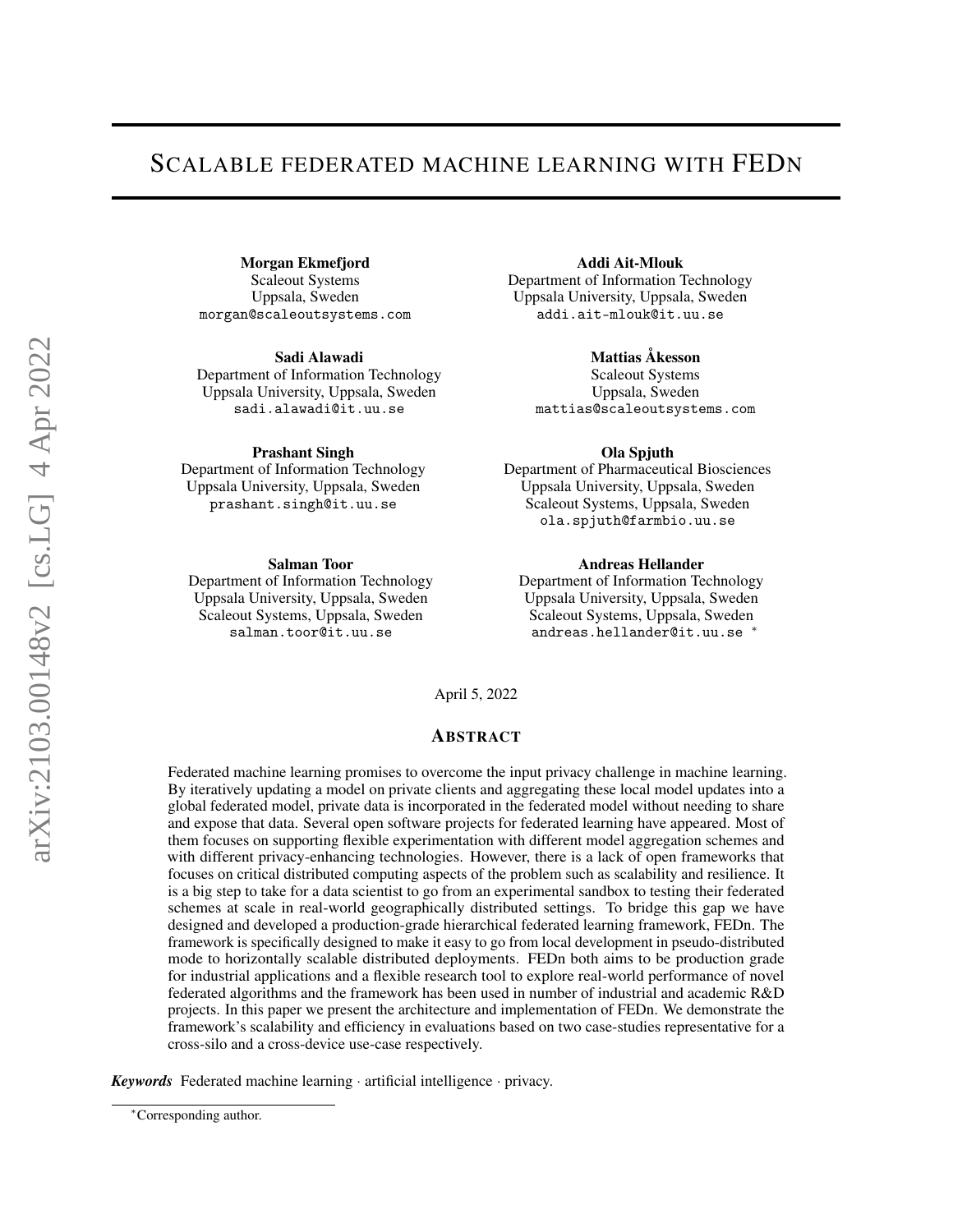# SCALABLE FEDERATED MACHINE LEARNING WITH FEDN

Morgan Ekmefjord Scaleout Systems Uppsala, Sweden morgan@scaleoutsystems.com

Sadi Alawadi Department of Information Technology Uppsala University, Uppsala, Sweden sadi.alawadi@it.uu.se

Prashant Singh

Department of Information Technology Uppsala University, Uppsala, Sweden prashant.singh@it.uu.se

#### Salman Toor

Department of Information Technology Uppsala University, Uppsala, Sweden Scaleout Systems, Uppsala, Sweden salman.toor@it.uu.se

Addi Ait-Mlouk

Department of Information Technology Uppsala University, Uppsala, Sweden addi.ait-mlouk@it.uu.se

> Mattias Åkesson Scaleout Systems

Uppsala, Sweden mattias@scaleoutsystems.com

#### Ola Spjuth

Department of Pharmaceutical Biosciences Uppsala University, Uppsala, Sweden Scaleout Systems, Uppsala, Sweden ola.spjuth@farmbio.uu.se

#### Andreas Hellander

Department of Information Technology Uppsala University, Uppsala, Sweden Scaleout Systems, Uppsala, Sweden andreas.hellander@it.uu.se <sup>\*</sup>

April 5, 2022

### ABSTRACT

Federated machine learning promises to overcome the input privacy challenge in machine learning. By iteratively updating a model on private clients and aggregating these local model updates into a global federated model, private data is incorporated in the federated model without needing to share and expose that data. Several open software projects for federated learning have appeared. Most of them focuses on supporting flexible experimentation with different model aggregation schemes and with different privacy-enhancing technologies. However, there is a lack of open frameworks that focuses on critical distributed computing aspects of the problem such as scalability and resilience. It is a big step to take for a data scientist to go from an experimental sandbox to testing their federated schemes at scale in real-world geographically distributed settings. To bridge this gap we have designed and developed a production-grade hierarchical federated learning framework, FEDn. The framework is specifically designed to make it easy to go from local development in pseudo-distributed mode to horizontally scalable distributed deployments. FEDn both aims to be production grade for industrial applications and a flexible research tool to explore real-world performance of novel federated algorithms and the framework has been used in number of industrial and academic R&D projects. In this paper we present the architecture and implementation of FEDn. We demonstrate the framework's scalability and efficiency in evaluations based on two case-studies representative for a cross-silo and a cross-device use-case respectively.

*Keywords* Federated machine learning · artificial intelligence · privacy.

<sup>∗</sup>Corresponding author.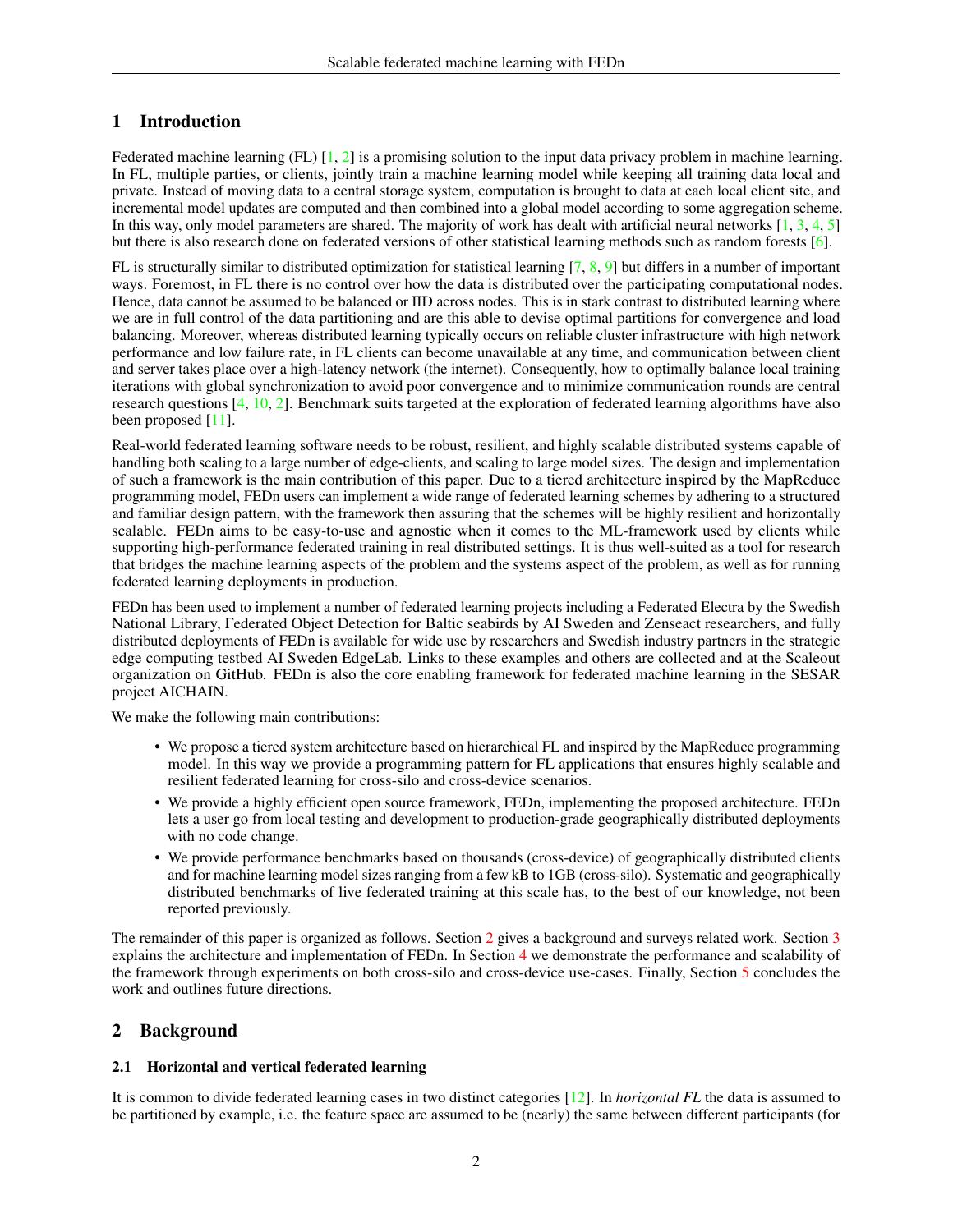# 1 Introduction

Federated machine learning (FL)  $\left[1, 2\right]$  $\left[1, 2\right]$  $\left[1, 2\right]$  is a promising solution to the input data privacy problem in machine learning. In FL, multiple parties, or clients, jointly train a machine learning model while keeping all training data local and private. Instead of moving data to a central storage system, computation is brought to data at each local client site, and incremental model updates are computed and then combined into a global model according to some aggregation scheme. In this way, only model parameters are shared. The majority of work has dealt with artificial neural networks  $[1, 3, 4, 5]$  $[1, 3, 4, 5]$  $[1, 3, 4, 5]$  $[1, 3, 4, 5]$  $[1, 3, 4, 5]$  $[1, 3, 4, 5]$  $[1, 3, 4, 5]$ but there is also research done on federated versions of other statistical learning methods such as random forests [\[6\]](#page-12-5).

FL is structurally similar to distributed optimization for statistical learning [\[7,](#page-12-6) [8,](#page-12-7) [9\]](#page-12-8) but differs in a number of important ways. Foremost, in FL there is no control over how the data is distributed over the participating computational nodes. Hence, data cannot be assumed to be balanced or IID across nodes. This is in stark contrast to distributed learning where we are in full control of the data partitioning and are this able to devise optimal partitions for convergence and load balancing. Moreover, whereas distributed learning typically occurs on reliable cluster infrastructure with high network performance and low failure rate, in FL clients can become unavailable at any time, and communication between client and server takes place over a high-latency network (the internet). Consequently, how to optimally balance local training iterations with global synchronization to avoid poor convergence and to minimize communication rounds are central research questions [\[4,](#page-12-3) [10,](#page-12-9) [2\]](#page-12-1). Benchmark suits targeted at the exploration of federated learning algorithms have also been proposed [\[11\]](#page-12-10).

Real-world federated learning software needs to be robust, resilient, and highly scalable distributed systems capable of handling both scaling to a large number of edge-clients, and scaling to large model sizes. The design and implementation of such a framework is the main contribution of this paper. Due to a tiered architecture inspired by the MapReduce programming model, FEDn users can implement a wide range of federated learning schemes by adhering to a structured and familiar design pattern, with the framework then assuring that the schemes will be highly resilient and horizontally scalable. FEDn aims to be easy-to-use and agnostic when it comes to the ML-framework used by clients while supporting high-performance federated training in real distributed settings. It is thus well-suited as a tool for research that bridges the machine learning aspects of the problem and the systems aspect of the problem, as well as for running federated learning deployments in production.

FEDn has been used to implement a number of federated learning projects including a Federated Electra by the Swedish National Library, Federated Object Detection for Baltic seabirds by AI Sweden and Zenseact researchers, and fully distributed deployments of FEDn is available for wide use by researchers and Swedish industry partners in the strategic edge computing testbed AI Sweden EdgeLab. Links to these examples and others are collected and at the Scaleout organization on GitHub. FEDn is also the core enabling framework for federated machine learning in the SESAR project AICHAIN.

We make the following main contributions:

- We propose a tiered system architecture based on hierarchical FL and inspired by the MapReduce programming model. In this way we provide a programming pattern for FL applications that ensures highly scalable and resilient federated learning for cross-silo and cross-device scenarios.
- We provide a highly efficient open source framework, FEDn, implementing the proposed architecture. FEDn lets a user go from local testing and development to production-grade geographically distributed deployments with no code change.
- We provide performance benchmarks based on thousands (cross-device) of geographically distributed clients and for machine learning model sizes ranging from a few kB to 1GB (cross-silo). Systematic and geographically distributed benchmarks of live federated training at this scale has, to the best of our knowledge, not been reported previously.

The remainder of this paper is organized as follows. Section [2](#page-1-0) gives a background and surveys related work. Section [3](#page-3-0) explains the architecture and implementation of FEDn. In Section [4](#page-7-0) we demonstrate the performance and scalability of the framework through experiments on both cross-silo and cross-device use-cases. Finally, Section [5](#page-12-11) concludes the work and outlines future directions.

# <span id="page-1-0"></span>2 Background

### 2.1 Horizontal and vertical federated learning

It is common to divide federated learning cases in two distinct categories [\[12\]](#page-13-0). In *horizontal FL* the data is assumed to be partitioned by example, i.e. the feature space are assumed to be (nearly) the same between different participants (for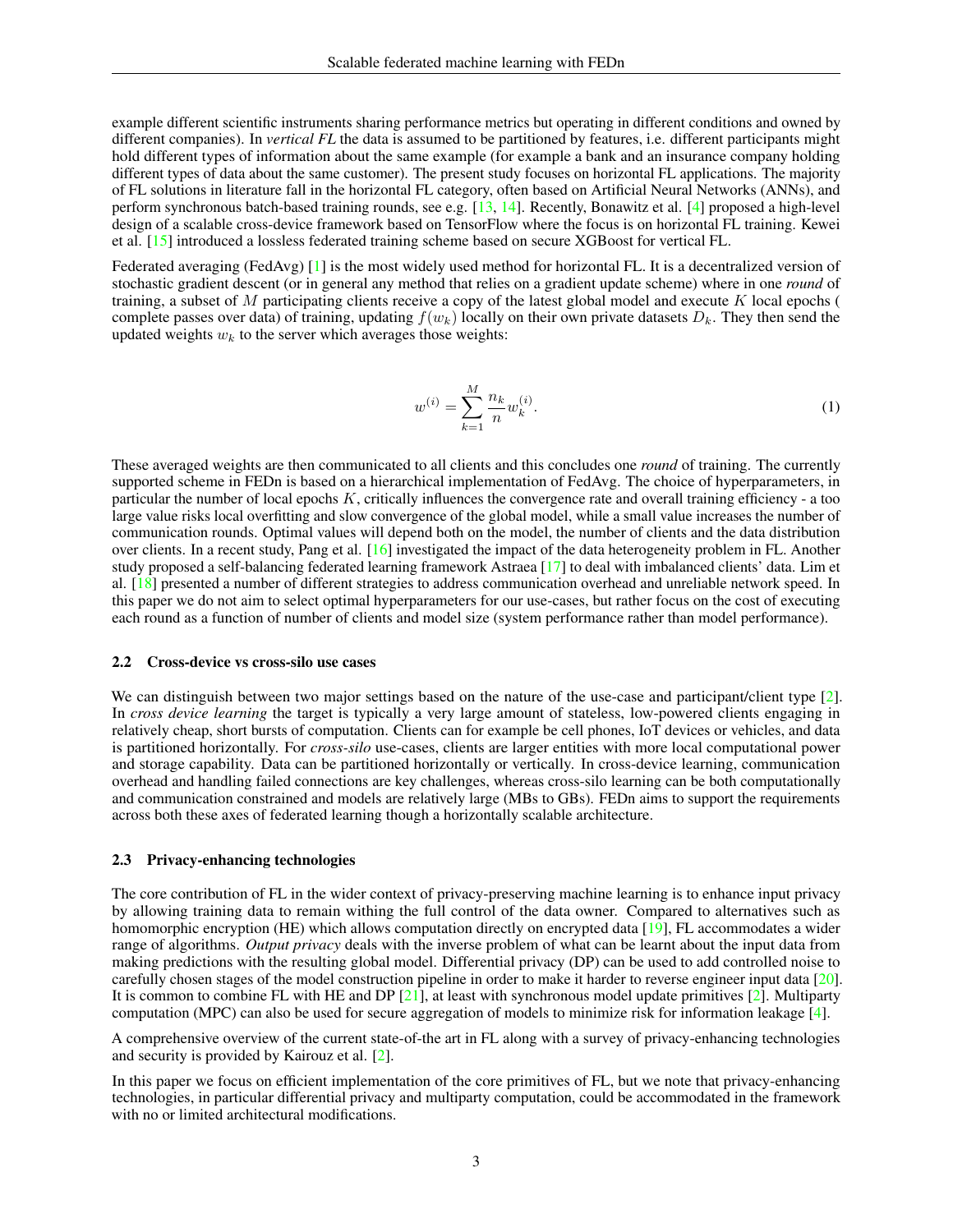example different scientific instruments sharing performance metrics but operating in different conditions and owned by different companies). In *vertical FL* the data is assumed to be partitioned by features, i.e. different participants might hold different types of information about the same example (for example a bank and an insurance company holding different types of data about the same customer). The present study focuses on horizontal FL applications. The majority of FL solutions in literature fall in the horizontal FL category, often based on Artificial Neural Networks (ANNs), and perform synchronous batch-based training rounds, see e.g. [\[13,](#page-13-1) [14\]](#page-13-2). Recently, Bonawitz et al. [\[4\]](#page-12-3) proposed a high-level design of a scalable cross-device framework based on TensorFlow where the focus is on horizontal FL training. Kewei et al. [\[15\]](#page-13-3) introduced a lossless federated training scheme based on secure XGBoost for vertical FL.

Federated averaging (FedAvg) [\[1\]](#page-12-0) is the most widely used method for horizontal FL. It is a decentralized version of stochastic gradient descent (or in general any method that relies on a gradient update scheme) where in one *round* of training, a subset of  $M$  participating clients receive a copy of the latest global model and execute  $K$  local epochs ( complete passes over data) of training, updating  $f(w_k)$  locally on their own private datasets  $D_k$ . They then send the updated weights  $w_k$  to the server which averages those weights:

$$
w^{(i)} = \sum_{k=1}^{M} \frac{n_k}{n} w_k^{(i)}.
$$
 (1)

These averaged weights are then communicated to all clients and this concludes one *round* of training. The currently supported scheme in FEDn is based on a hierarchical implementation of FedAvg. The choice of hyperparameters, in particular the number of local epochs  $K$ , critically influences the convergence rate and overall training efficiency - a too large value risks local overfitting and slow convergence of the global model, while a small value increases the number of communication rounds. Optimal values will depend both on the model, the number of clients and the data distribution over clients. In a recent study, Pang et al. [\[16\]](#page-13-4) investigated the impact of the data heterogeneity problem in FL. Another study proposed a self-balancing federated learning framework Astraea [\[17\]](#page-13-5) to deal with imbalanced clients' data. Lim et al. [\[18\]](#page-13-6) presented a number of different strategies to address communication overhead and unreliable network speed. In this paper we do not aim to select optimal hyperparameters for our use-cases, but rather focus on the cost of executing each round as a function of number of clients and model size (system performance rather than model performance).

#### 2.2 Cross-device vs cross-silo use cases

We can distinguish between two major settings based on the nature of the use-case and participant/client type [\[2\]](#page-12-1). In *cross device learning* the target is typically a very large amount of stateless, low-powered clients engaging in relatively cheap, short bursts of computation. Clients can for example be cell phones, IoT devices or vehicles, and data is partitioned horizontally. For *cross-silo* use-cases, clients are larger entities with more local computational power and storage capability. Data can be partitioned horizontally or vertically. In cross-device learning, communication overhead and handling failed connections are key challenges, whereas cross-silo learning can be both computationally and communication constrained and models are relatively large (MBs to GBs). FEDn aims to support the requirements across both these axes of federated learning though a horizontally scalable architecture.

#### 2.3 Privacy-enhancing technologies

The core contribution of FL in the wider context of privacy-preserving machine learning is to enhance input privacy by allowing training data to remain withing the full control of the data owner. Compared to alternatives such as homomorphic encryption (HE) which allows computation directly on encrypted data [\[19\]](#page-13-7), FL accommodates a wider range of algorithms. *Output privacy* deals with the inverse problem of what can be learnt about the input data from making predictions with the resulting global model. Differential privacy (DP) can be used to add controlled noise to carefully chosen stages of the model construction pipeline in order to make it harder to reverse engineer input data [\[20\]](#page-13-8). It is common to combine FL with HE and DP  $[21]$ , at least with synchronous model update primitives  $[2]$ . Multiparty computation (MPC) can also be used for secure aggregation of models to minimize risk for information leakage [\[4\]](#page-12-3).

A comprehensive overview of the current state-of-the art in FL along with a survey of privacy-enhancing technologies and security is provided by Kairouz et al. [\[2\]](#page-12-1).

In this paper we focus on efficient implementation of the core primitives of FL, but we note that privacy-enhancing technologies, in particular differential privacy and multiparty computation, could be accommodated in the framework with no or limited architectural modifications.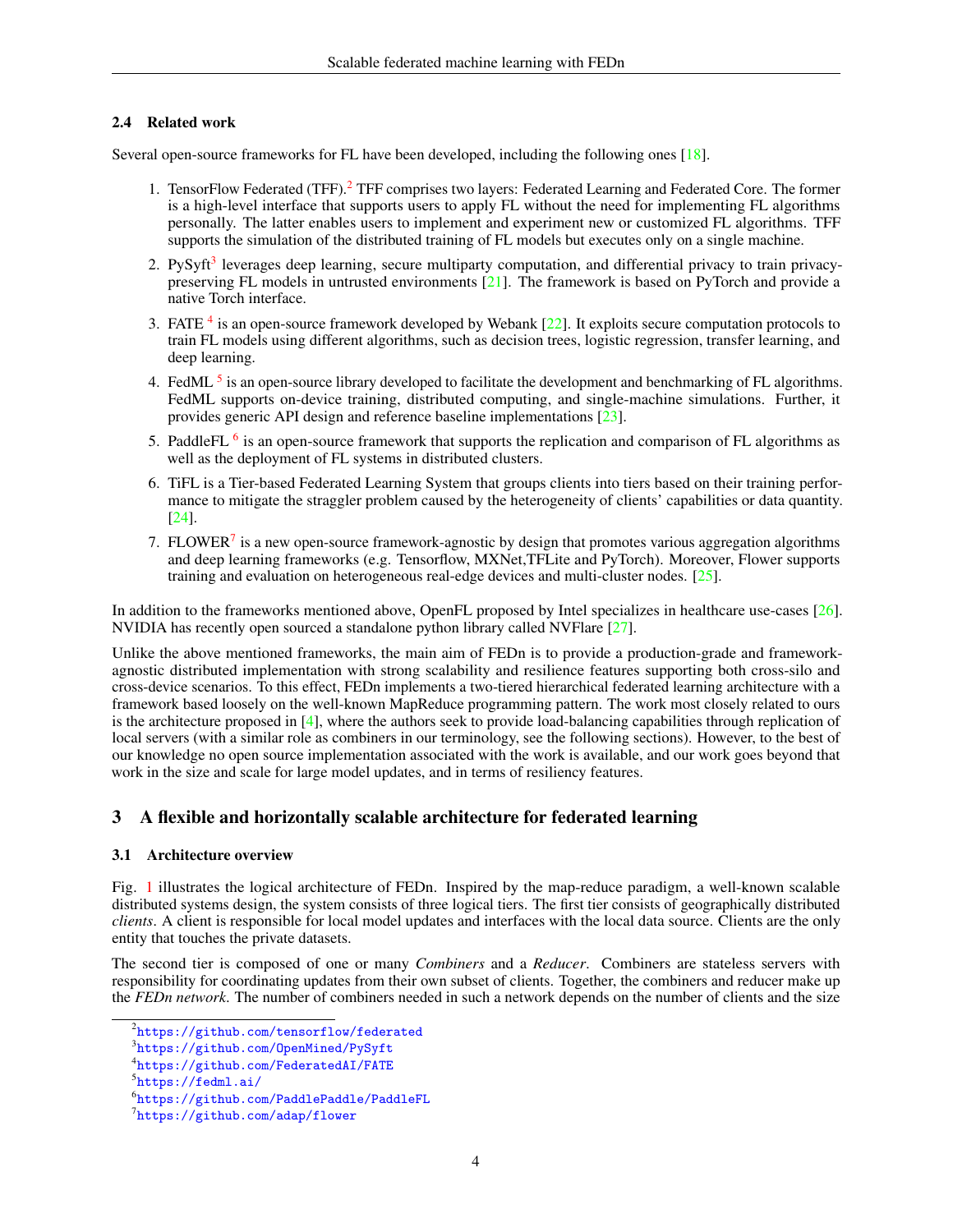### 2.4 Related work

Several open-source frameworks for FL have been developed, including the following ones [\[18\]](#page-13-6).

- 1. TensorFlow Federated (TFF).<sup>[2](#page-3-1)</sup> TFF comprises two layers: Federated Learning and Federated Core. The former is a high-level interface that supports users to apply FL without the need for implementing FL algorithms personally. The latter enables users to implement and experiment new or customized FL algorithms. TFF supports the simulation of the distributed training of FL models but executes only on a single machine.
- 2. PySyft<sup>[3](#page-3-2)</sup> leverages deep learning, secure multiparty computation, and differential privacy to train privacypreserving FL models in untrusted environments [\[21\]](#page-13-9). The framework is based on PyTorch and provide a native Torch interface.
- 3. FATE  $<sup>4</sup>$  $<sup>4</sup>$  $<sup>4</sup>$  is an open-source framework developed by Webank [\[22\]](#page-13-10). It exploits secure computation protocols to</sup> train FL models using different algorithms, such as decision trees, logistic regression, transfer learning, and deep learning.
- 4. FedML $<sup>5</sup>$  $<sup>5</sup>$  $<sup>5</sup>$  is an open-source library developed to facilitate the development and benchmarking of FL algorithms.</sup> FedML supports on-device training, distributed computing, and single-machine simulations. Further, it provides generic API design and reference baseline implementations [\[23\]](#page-13-11).
- 5. Paddle $FL^6$  $FL^6$  is an open-source framework that supports the replication and comparison of FL algorithms as well as the deployment of FL systems in distributed clusters.
- 6. TiFL is a Tier-based Federated Learning System that groups clients into tiers based on their training performance to mitigate the straggler problem caused by the heterogeneity of clients' capabilities or data quantity. [\[24\]](#page-13-12).
- [7](#page-3-6). FLOWER<sup>7</sup> is a new open-source framework-agnostic by design that promotes various aggregation algorithms and deep learning frameworks (e.g. Tensorflow, MXNet,TFLite and PyTorch). Moreover, Flower supports training and evaluation on heterogeneous real-edge devices and multi-cluster nodes. [\[25\]](#page-13-13).

In addition to the frameworks mentioned above, OpenFL proposed by Intel specializes in healthcare use-cases [\[26\]](#page-13-14). NVIDIA has recently open sourced a standalone python library called NVFlare [\[27\]](#page-13-15).

Unlike the above mentioned frameworks, the main aim of FEDn is to provide a production-grade and frameworkagnostic distributed implementation with strong scalability and resilience features supporting both cross-silo and cross-device scenarios. To this effect, FEDn implements a two-tiered hierarchical federated learning architecture with a framework based loosely on the well-known MapReduce programming pattern. The work most closely related to ours is the architecture proposed in [\[4\]](#page-12-3), where the authors seek to provide load-balancing capabilities through replication of local servers (with a similar role as combiners in our terminology, see the following sections). However, to the best of our knowledge no open source implementation associated with the work is available, and our work goes beyond that work in the size and scale for large model updates, and in terms of resiliency features.

# <span id="page-3-0"></span>3 A flexible and horizontally scalable architecture for federated learning

### 3.1 Architecture overview

Fig. [1](#page-4-0) illustrates the logical architecture of FEDn. Inspired by the map-reduce paradigm, a well-known scalable distributed systems design, the system consists of three logical tiers. The first tier consists of geographically distributed *clients*. A client is responsible for local model updates and interfaces with the local data source. Clients are the only entity that touches the private datasets.

The second tier is composed of one or many *Combiners* and a *Reducer*. Combiners are stateless servers with responsibility for coordinating updates from their own subset of clients. Together, the combiners and reducer make up the *FEDn network*. The number of combiners needed in such a network depends on the number of clients and the size

<span id="page-3-1"></span> $^{2}$ <https://github.com/tensorflow/federated>

<span id="page-3-2"></span><sup>3</sup> <https://github.com/OpenMined/PySyft>

<span id="page-3-3"></span><sup>4</sup> <https://github.com/FederatedAI/FATE>

<span id="page-3-4"></span> $5$ <https://fedml.ai/>

<span id="page-3-5"></span> $^6$ <https://github.com/PaddlePaddle/PaddleFL>

<span id="page-3-6"></span><sup>7</sup> <https://github.com/adap/flower>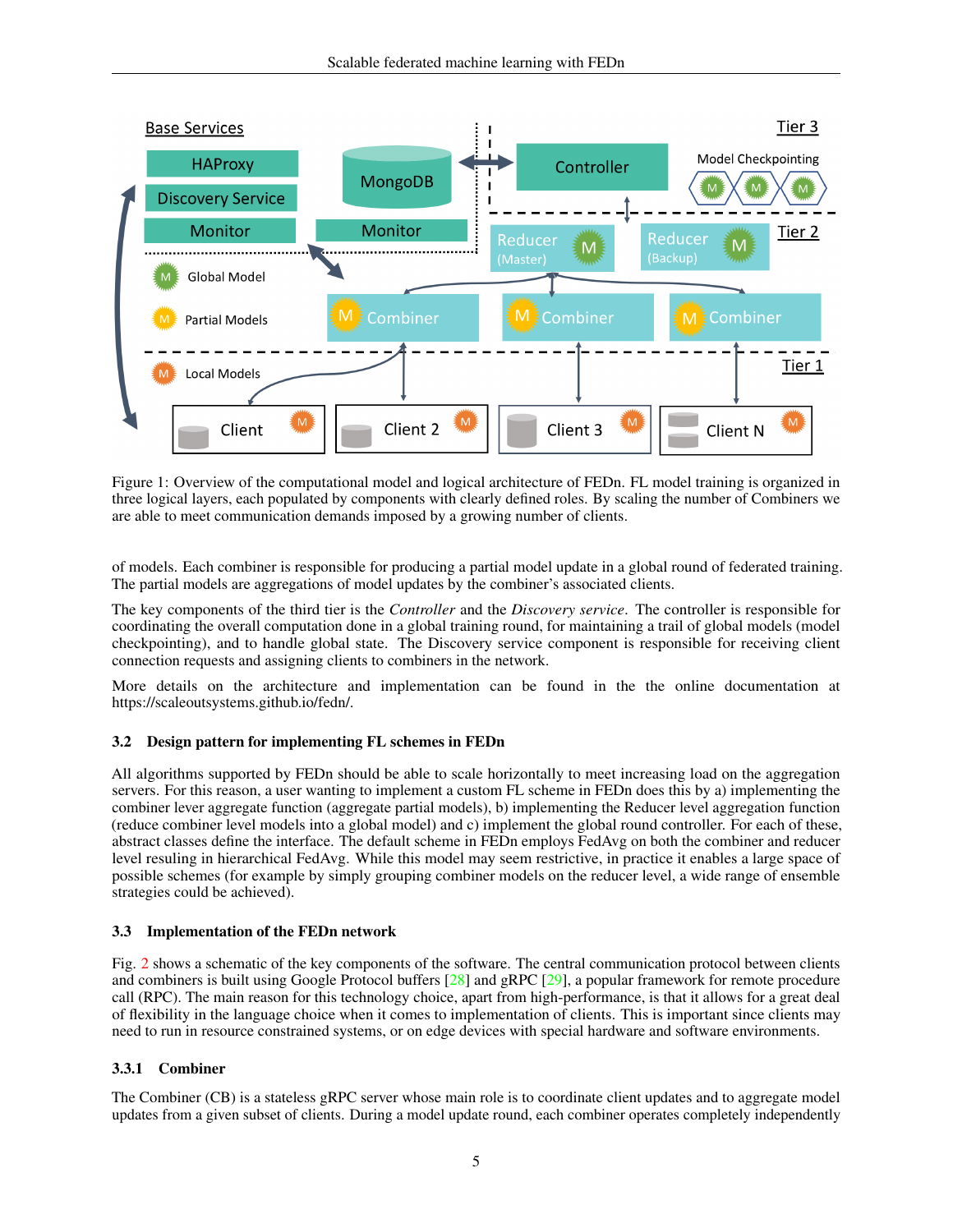

<span id="page-4-0"></span>Figure 1: Overview of the computational model and logical architecture of FEDn. FL model training is organized in three logical layers, each populated by components with clearly defined roles. By scaling the number of Combiners we are able to meet communication demands imposed by a growing number of clients.

of models. Each combiner is responsible for producing a partial model update in a global round of federated training. The partial models are aggregations of model updates by the combiner's associated clients.

The key components of the third tier is the *Controller* and the *Discovery service*. The controller is responsible for coordinating the overall computation done in a global training round, for maintaining a trail of global models (model checkpointing), and to handle global state. The Discovery service component is responsible for receiving client connection requests and assigning clients to combiners in the network.

More details on the architecture and implementation can be found in the the online documentation at https://scaleoutsystems.github.io/fedn/.

### 3.2 Design pattern for implementing FL schemes in FEDn

All algorithms supported by FEDn should be able to scale horizontally to meet increasing load on the aggregation servers. For this reason, a user wanting to implement a custom FL scheme in FEDn does this by a) implementing the combiner lever aggregate function (aggregate partial models), b) implementing the Reducer level aggregation function (reduce combiner level models into a global model) and c) implement the global round controller. For each of these, abstract classes define the interface. The default scheme in FEDn employs FedAvg on both the combiner and reducer level resuling in hierarchical FedAvg. While this model may seem restrictive, in practice it enables a large space of possible schemes (for example by simply grouping combiner models on the reducer level, a wide range of ensemble strategies could be achieved).

### 3.3 Implementation of the FEDn network

Fig. [2](#page-5-0) shows a schematic of the key components of the software. The central communication protocol between clients and combiners is built using Google Protocol buffers  $[28]$  and gRPC  $[29]$ , a popular framework for remote procedure call (RPC). The main reason for this technology choice, apart from high-performance, is that it allows for a great deal of flexibility in the language choice when it comes to implementation of clients. This is important since clients may need to run in resource constrained systems, or on edge devices with special hardware and software environments.

### 3.3.1 Combiner

The Combiner (CB) is a stateless gRPC server whose main role is to coordinate client updates and to aggregate model updates from a given subset of clients. During a model update round, each combiner operates completely independently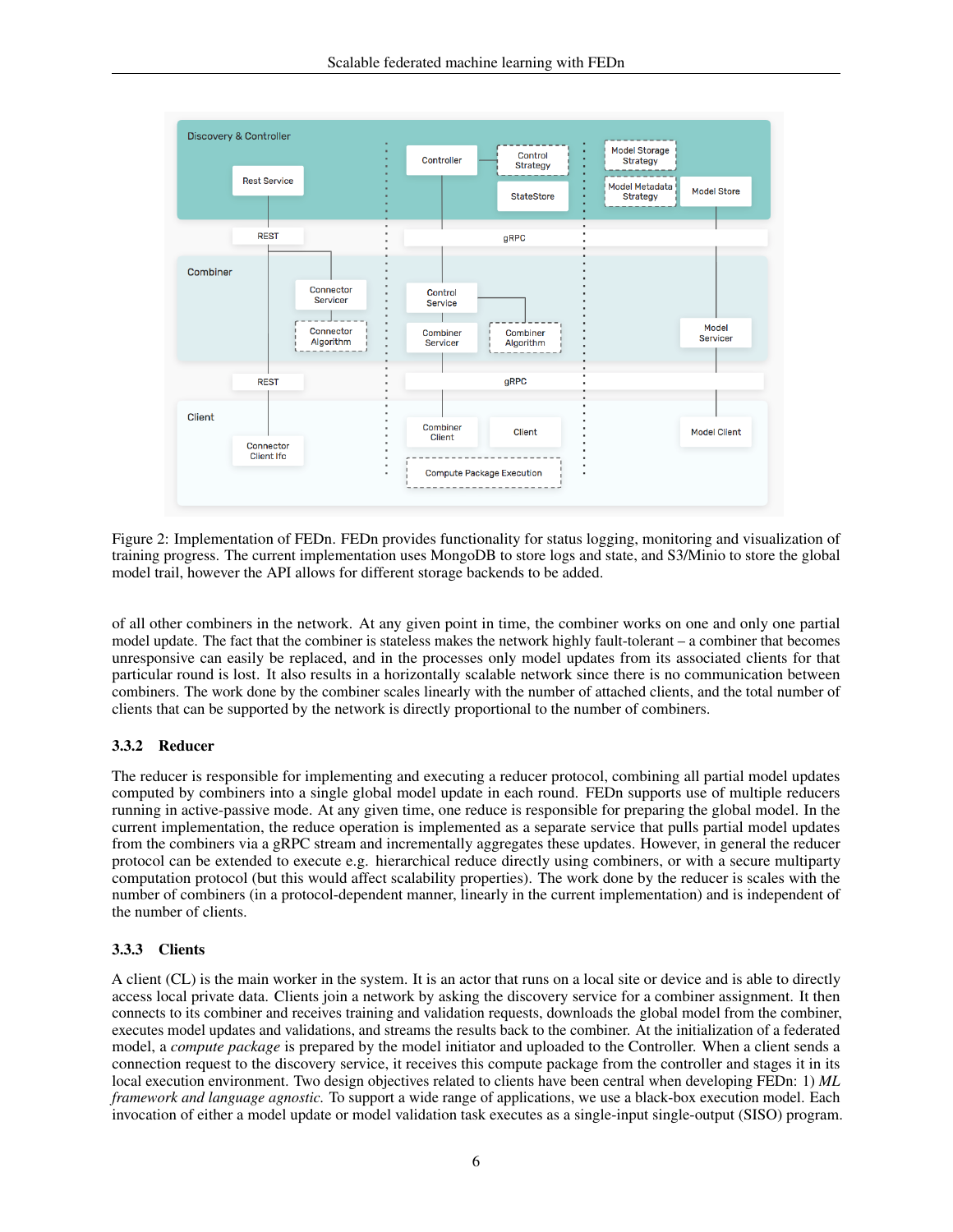

<span id="page-5-0"></span>Figure 2: Implementation of FEDn. FEDn provides functionality for status logging, monitoring and visualization of training progress. The current implementation uses MongoDB to store logs and state, and S3/Minio to store the global model trail, however the API allows for different storage backends to be added.

of all other combiners in the network. At any given point in time, the combiner works on one and only one partial model update. The fact that the combiner is stateless makes the network highly fault-tolerant – a combiner that becomes unresponsive can easily be replaced, and in the processes only model updates from its associated clients for that particular round is lost. It also results in a horizontally scalable network since there is no communication between combiners. The work done by the combiner scales linearly with the number of attached clients, and the total number of clients that can be supported by the network is directly proportional to the number of combiners.

### 3.3.2 Reducer

The reducer is responsible for implementing and executing a reducer protocol, combining all partial model updates computed by combiners into a single global model update in each round. FEDn supports use of multiple reducers running in active-passive mode. At any given time, one reduce is responsible for preparing the global model. In the current implementation, the reduce operation is implemented as a separate service that pulls partial model updates from the combiners via a gRPC stream and incrementally aggregates these updates. However, in general the reducer protocol can be extended to execute e.g. hierarchical reduce directly using combiners, or with a secure multiparty computation protocol (but this would affect scalability properties). The work done by the reducer is scales with the number of combiners (in a protocol-dependent manner, linearly in the current implementation) and is independent of the number of clients.

### 3.3.3 Clients

A client (CL) is the main worker in the system. It is an actor that runs on a local site or device and is able to directly access local private data. Clients join a network by asking the discovery service for a combiner assignment. It then connects to its combiner and receives training and validation requests, downloads the global model from the combiner, executes model updates and validations, and streams the results back to the combiner. At the initialization of a federated model, a *compute package* is prepared by the model initiator and uploaded to the Controller. When a client sends a connection request to the discovery service, it receives this compute package from the controller and stages it in its local execution environment. Two design objectives related to clients have been central when developing FEDn: 1) *ML framework and language agnostic.* To support a wide range of applications, we use a black-box execution model. Each invocation of either a model update or model validation task executes as a single-input single-output (SISO) program.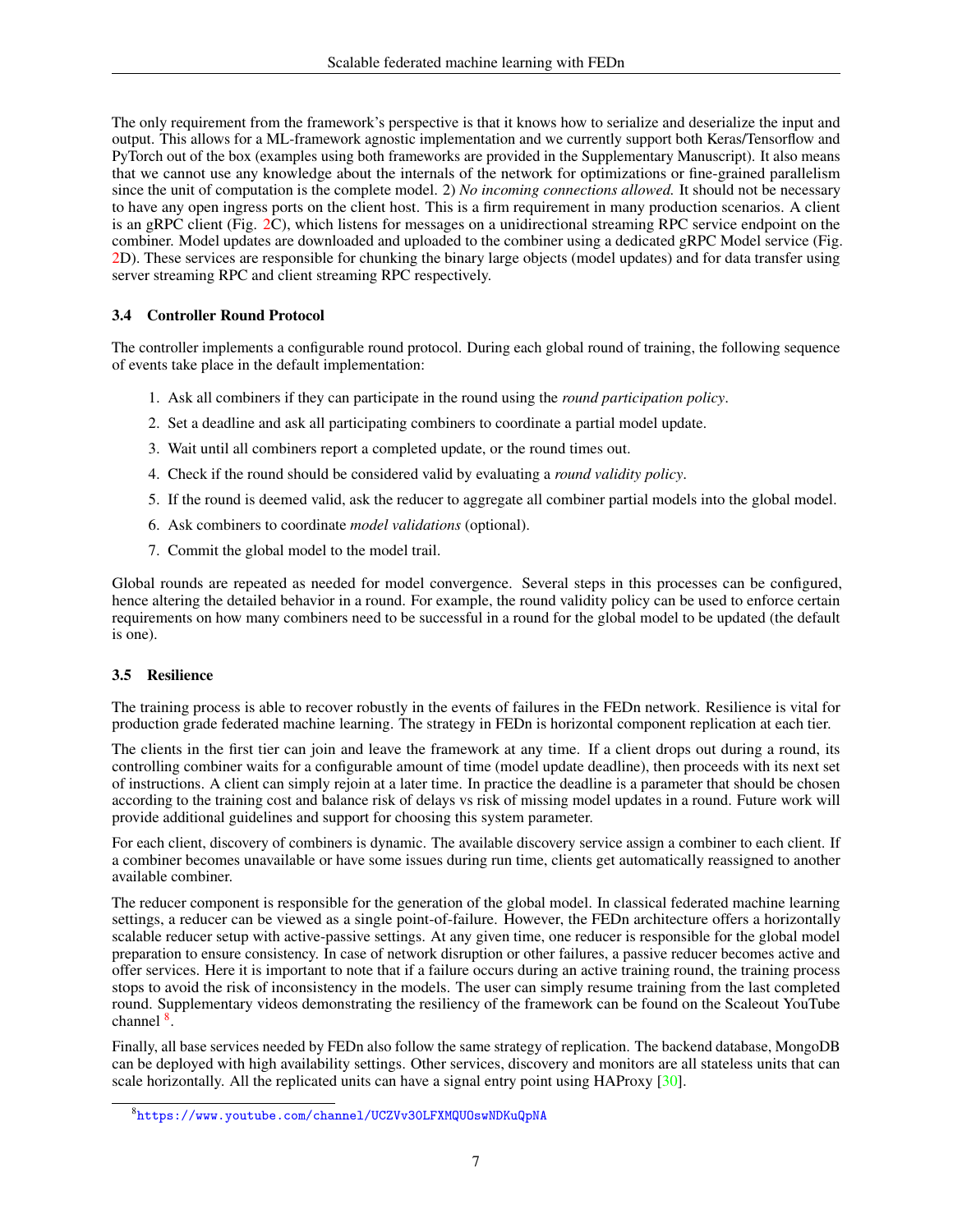The only requirement from the framework's perspective is that it knows how to serialize and deserialize the input and output. This allows for a ML-framework agnostic implementation and we currently support both Keras/Tensorflow and PyTorch out of the box (examples using both frameworks are provided in the Supplementary Manuscript). It also means that we cannot use any knowledge about the internals of the network for optimizations or fine-grained parallelism since the unit of computation is the complete model. 2) *No incoming connections allowed.* It should not be necessary to have any open ingress ports on the client host. This is a firm requirement in many production scenarios. A client is an gRPC client (Fig. [2C](#page-5-0)), which listens for messages on a unidirectional streaming RPC service endpoint on the combiner. Model updates are downloaded and uploaded to the combiner using a dedicated gRPC Model service (Fig. [2D](#page-5-0)). These services are responsible for chunking the binary large objects (model updates) and for data transfer using server streaming RPC and client streaming RPC respectively.

### 3.4 Controller Round Protocol

The controller implements a configurable round protocol. During each global round of training, the following sequence of events take place in the default implementation:

- 1. Ask all combiners if they can participate in the round using the *round participation policy*.
- 2. Set a deadline and ask all participating combiners to coordinate a partial model update.
- 3. Wait until all combiners report a completed update, or the round times out.
- 4. Check if the round should be considered valid by evaluating a *round validity policy*.
- 5. If the round is deemed valid, ask the reducer to aggregate all combiner partial models into the global model.
- 6. Ask combiners to coordinate *model validations* (optional).
- 7. Commit the global model to the model trail.

Global rounds are repeated as needed for model convergence. Several steps in this processes can be configured, hence altering the detailed behavior in a round. For example, the round validity policy can be used to enforce certain requirements on how many combiners need to be successful in a round for the global model to be updated (the default is one).

# 3.5 Resilience

The training process is able to recover robustly in the events of failures in the FEDn network. Resilience is vital for production grade federated machine learning. The strategy in FEDn is horizontal component replication at each tier.

The clients in the first tier can join and leave the framework at any time. If a client drops out during a round, its controlling combiner waits for a configurable amount of time (model update deadline), then proceeds with its next set of instructions. A client can simply rejoin at a later time. In practice the deadline is a parameter that should be chosen according to the training cost and balance risk of delays vs risk of missing model updates in a round. Future work will provide additional guidelines and support for choosing this system parameter.

For each client, discovery of combiners is dynamic. The available discovery service assign a combiner to each client. If a combiner becomes unavailable or have some issues during run time, clients get automatically reassigned to another available combiner.

The reducer component is responsible for the generation of the global model. In classical federated machine learning settings, a reducer can be viewed as a single point-of-failure. However, the FEDn architecture offers a horizontally scalable reducer setup with active-passive settings. At any given time, one reducer is responsible for the global model preparation to ensure consistency. In case of network disruption or other failures, a passive reducer becomes active and offer services. Here it is important to note that if a failure occurs during an active training round, the training process stops to avoid the risk of inconsistency in the models. The user can simply resume training from the last completed round. Supplementary videos demonstrating the resiliency of the framework can be found on the Scaleout YouTube channel<sup>[8](#page-6-0)</sup>.

Finally, all base services needed by FEDn also follow the same strategy of replication. The backend database, MongoDB can be deployed with high availability settings. Other services, discovery and monitors are all stateless units that can scale horizontally. All the replicated units can have a signal entry point using HAProxy [\[30\]](#page-13-18).

<span id="page-6-0"></span> ${}^{8}$ <https://www.youtube.com/channel/UCZVv30LFXMQUOswNDKuQpNA>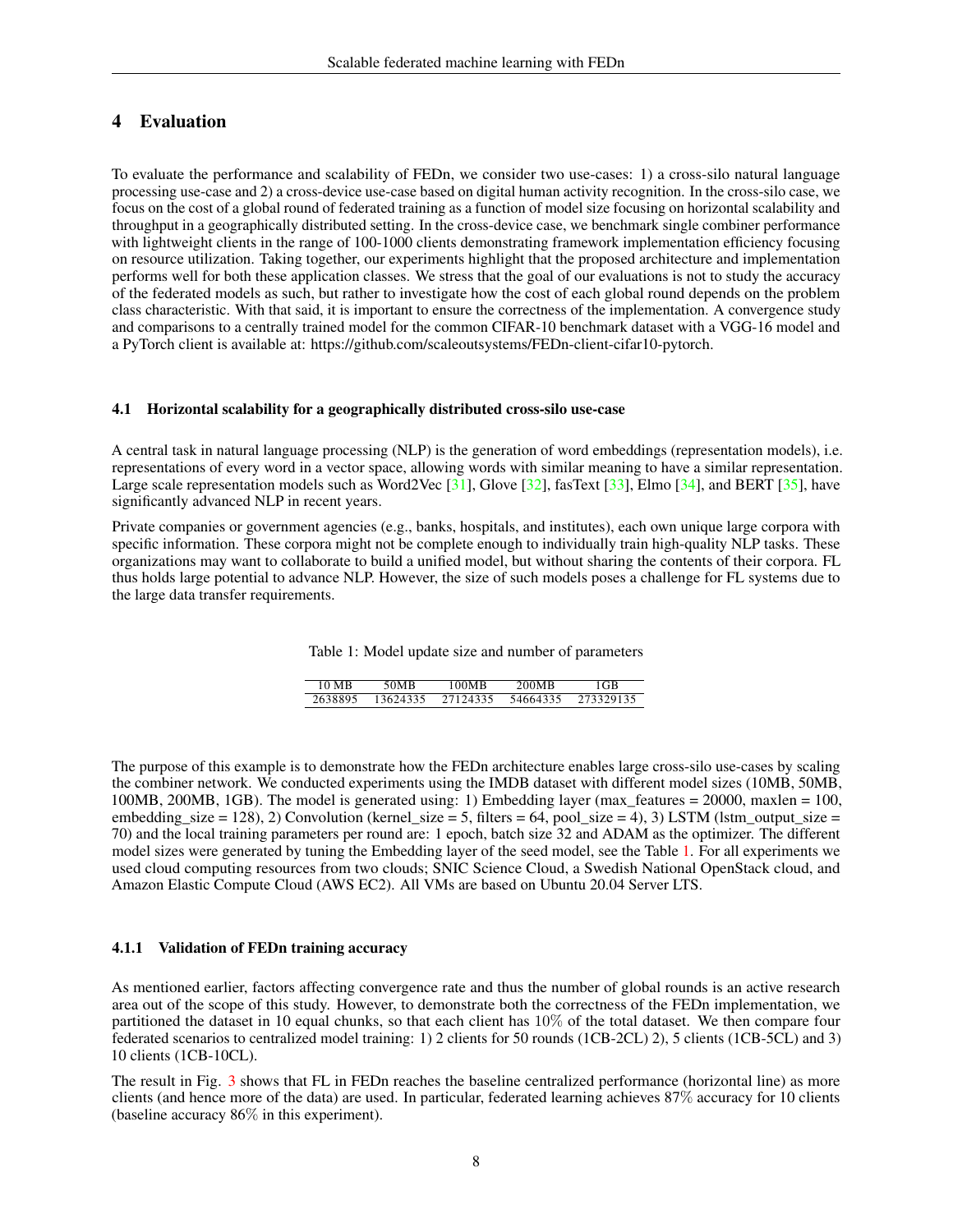# <span id="page-7-0"></span>4 Evaluation

To evaluate the performance and scalability of FEDn, we consider two use-cases: 1) a cross-silo natural language processing use-case and 2) a cross-device use-case based on digital human activity recognition. In the cross-silo case, we focus on the cost of a global round of federated training as a function of model size focusing on horizontal scalability and throughput in a geographically distributed setting. In the cross-device case, we benchmark single combiner performance with lightweight clients in the range of 100-1000 clients demonstrating framework implementation efficiency focusing on resource utilization. Taking together, our experiments highlight that the proposed architecture and implementation performs well for both these application classes. We stress that the goal of our evaluations is not to study the accuracy of the federated models as such, but rather to investigate how the cost of each global round depends on the problem class characteristic. With that said, it is important to ensure the correctness of the implementation. A convergence study and comparisons to a centrally trained model for the common CIFAR-10 benchmark dataset with a VGG-16 model and a PyTorch client is available at: https://github.com/scaleoutsystems/FEDn-client-cifar10-pytorch.

#### 4.1 Horizontal scalability for a geographically distributed cross-silo use-case

A central task in natural language processing (NLP) is the generation of word embeddings (representation models), i.e. representations of every word in a vector space, allowing words with similar meaning to have a similar representation. Large scale representation models such as Word2Vec [\[31\]](#page-13-19), Glove [\[32\]](#page-13-20), fasText [\[33\]](#page-13-21), Elmo [\[34\]](#page-13-22), and BERT [\[35\]](#page-13-23), have significantly advanced NLP in recent years.

Private companies or government agencies (e.g., banks, hospitals, and institutes), each own unique large corpora with specific information. These corpora might not be complete enough to individually train high-quality NLP tasks. These organizations may want to collaborate to build a unified model, but without sharing the contents of their corpora. FL thus holds large potential to advance NLP. However, the size of such models poses a challenge for FL systems due to the large data transfer requirements.

|  |  |  |  |  |  |  |  | Table 1: Model update size and number of parameters |
|--|--|--|--|--|--|--|--|-----------------------------------------------------|
|--|--|--|--|--|--|--|--|-----------------------------------------------------|

| 10 MB   | 50MB     | 00MR     | 200MB    | GB        |
|---------|----------|----------|----------|-----------|
| 2638895 | 13624335 | 27124335 | 54664335 | 273329135 |

<span id="page-7-1"></span>The purpose of this example is to demonstrate how the FEDn architecture enables large cross-silo use-cases by scaling the combiner network. We conducted experiments using the IMDB dataset with different model sizes (10MB, 50MB, 100MB, 200MB, 1GB). The model is generated using: 1) Embedding layer (max\_features = 20000, maxlen = 100, embedding size = 128), 2) Convolution (kernel size = 5, filters = 64, pool size = 4), 3) LSTM (lstm output size = 70) and the local training parameters per round are: 1 epoch, batch size 32 and ADAM as the optimizer. The different model sizes were generated by tuning the Embedding layer of the seed model, see the Table [1.](#page-7-1) For all experiments we used cloud computing resources from two clouds; SNIC Science Cloud, a Swedish National OpenStack cloud, and Amazon Elastic Compute Cloud (AWS EC2). All VMs are based on Ubuntu 20.04 Server LTS.

#### 4.1.1 Validation of FEDn training accuracy

As mentioned earlier, factors affecting convergence rate and thus the number of global rounds is an active research area out of the scope of this study. However, to demonstrate both the correctness of the FEDn implementation, we partitioned the dataset in 10 equal chunks, so that each client has 10% of the total dataset. We then compare four federated scenarios to centralized model training: 1) 2 clients for 50 rounds (1CB-2CL) 2), 5 clients (1CB-5CL) and 3) 10 clients (1CB-10CL).

The result in Fig. [3](#page-8-0) shows that FL in FEDn reaches the baseline centralized performance (horizontal line) as more clients (and hence more of the data) are used. In particular, federated learning achieves 87% accuracy for 10 clients (baseline accuracy 86% in this experiment).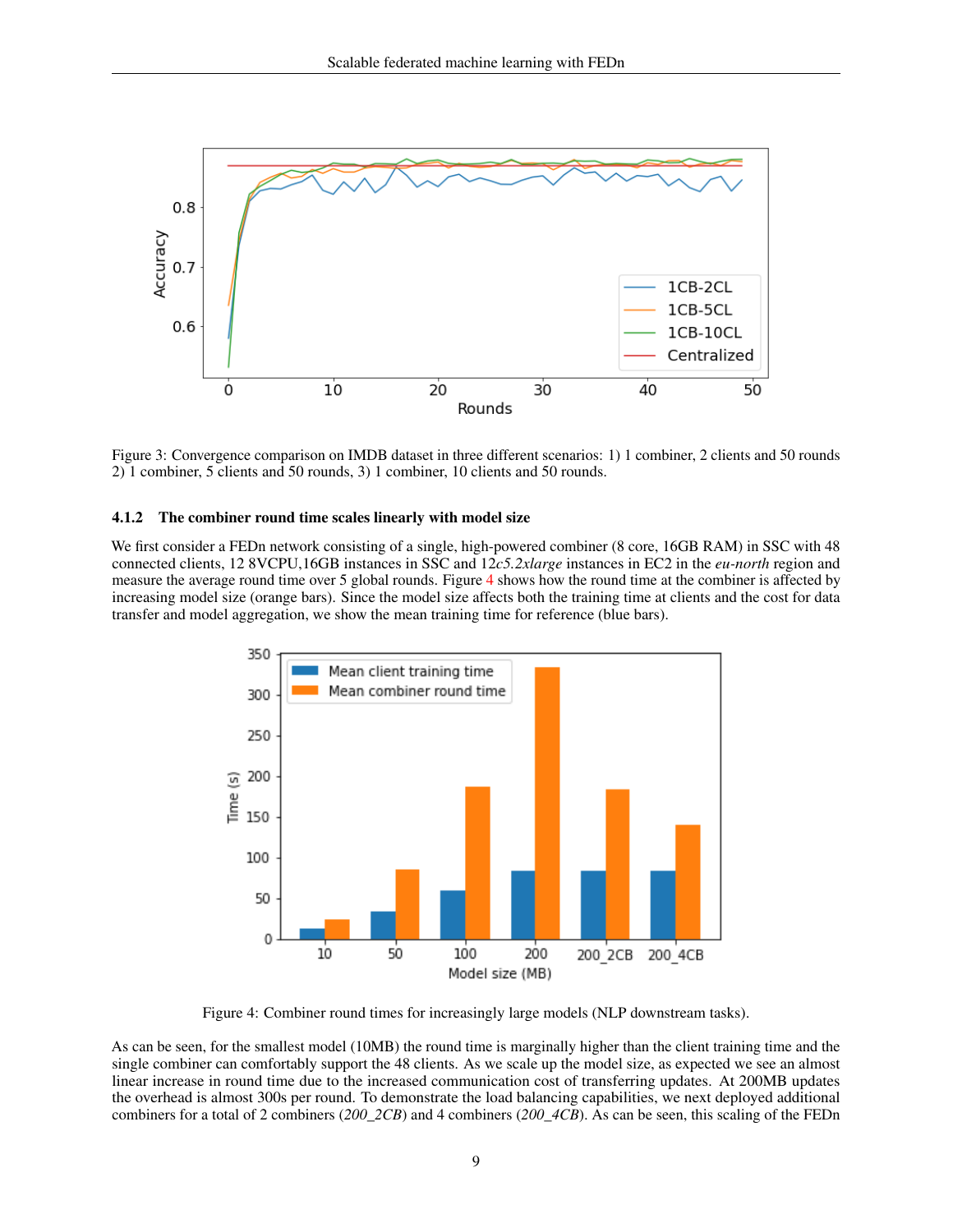

Figure 3: Convergence comparison on IMDB dataset in three different scenarios: 1) 1 combiner, 2 clients and 50 rounds 2) 1 combiner, 5 clients and 50 rounds, 3) 1 combiner, 10 clients and 50 rounds.

#### 4.1.2 The combiner round time scales linearly with model size

We first consider a FEDn network consisting of a single, high-powered combiner (8 core, 16GB RAM) in SSC with 48 connected clients, 12 8VCPU,16GB instances in SSC and 12*c5.2xlarge* instances in EC2 in the *eu-north* region and measure the average round time over 5 global rounds. Figure [4](#page-8-1) shows how the round time at the combiner is affected by increasing model size (orange bars). Since the model size affects both the training time at clients and the cost for data transfer and model aggregation, we show the mean training time for reference (blue bars).

<span id="page-8-0"></span>

<span id="page-8-1"></span>Figure 4: Combiner round times for increasingly large models (NLP downstream tasks).

As can be seen, for the smallest model (10MB) the round time is marginally higher than the client training time and the single combiner can comfortably support the 48 clients. As we scale up the model size, as expected we see an almost linear increase in round time due to the increased communication cost of transferring updates. At 200MB updates the overhead is almost 300s per round. To demonstrate the load balancing capabilities, we next deployed additional combiners for a total of 2 combiners (*200\_2CB*) and 4 combiners (*200\_4CB*). As can be seen, this scaling of the FEDn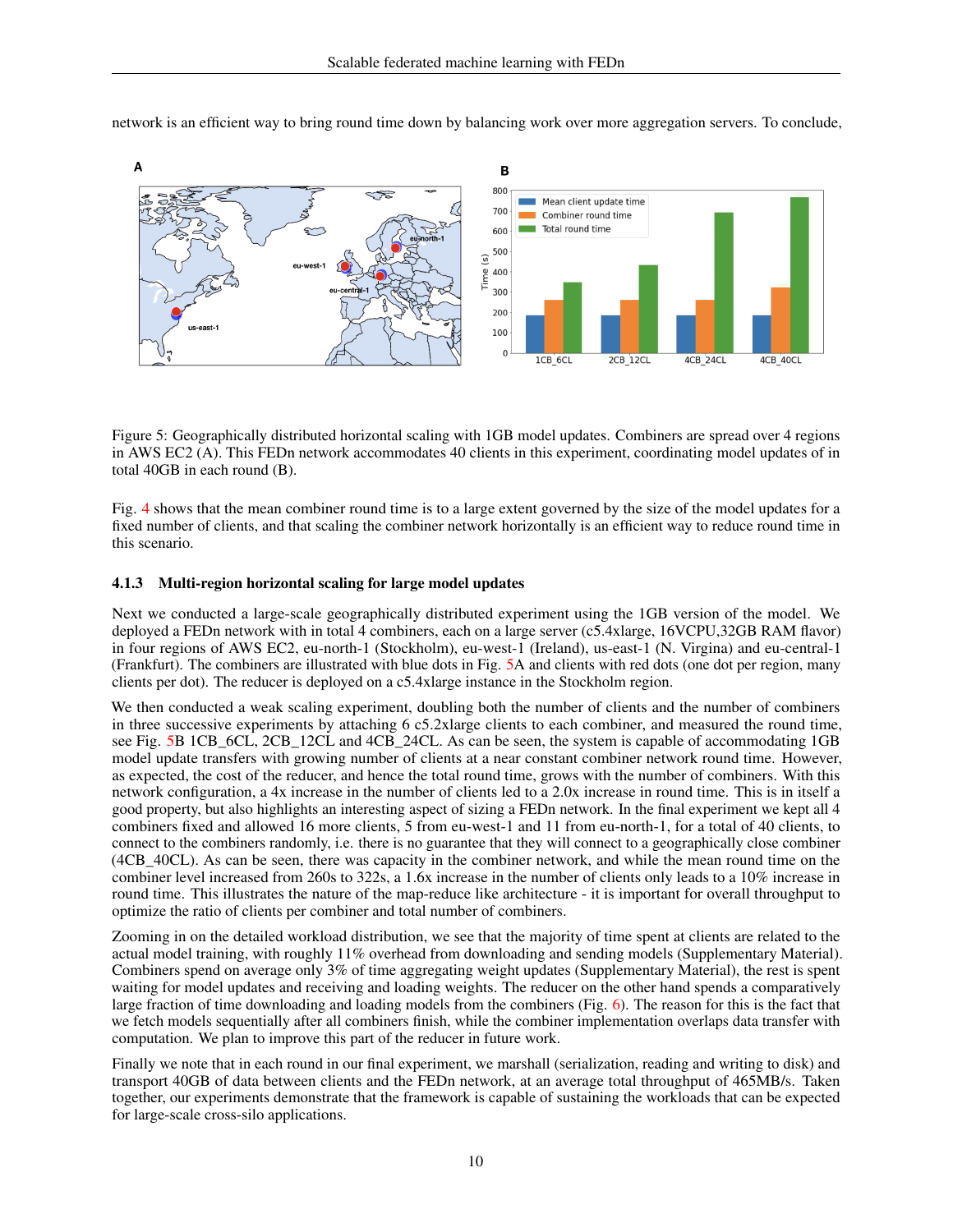

network is an efficient way to bring round time down by balancing work over more aggregation servers. To conclude,

<span id="page-9-0"></span>Figure 5: Geographically distributed horizontal scaling with 1GB model updates. Combiners are spread over 4 regions in AWS EC2 (A). This FEDn network accommodates 40 clients in this experiment, coordinating model updates of in total 40GB in each round (B).

Fig. [4](#page-8-1) shows that the mean combiner round time is to a large extent governed by the size of the model updates for a fixed number of clients, and that scaling the combiner network horizontally is an efficient way to reduce round time in this scenario.

#### 4.1.3 Multi-region horizontal scaling for large model updates

Next we conducted a large-scale geographically distributed experiment using the 1GB version of the model. We deployed a FEDn network with in total 4 combiners, each on a large server (c5.4xlarge, 16VCPU,32GB RAM flavor) in four regions of AWS EC2, eu-north-1 (Stockholm), eu-west-1 (Ireland), us-east-1 (N. Virgina) and eu-central-1 (Frankfurt). The combiners are illustrated with blue dots in Fig. [5A](#page-9-0) and clients with red dots (one dot per region, many clients per dot). The reducer is deployed on a c5.4xlarge instance in the Stockholm region.

We then conducted a weak scaling experiment, doubling both the number of clients and the number of combiners in three successive experiments by attaching 6 c5.2xlarge clients to each combiner, and measured the round time, see Fig. [5B](#page-9-0) 1CB\_6CL, 2CB\_12CL and 4CB\_24CL. As can be seen, the system is capable of accommodating 1GB model update transfers with growing number of clients at a near constant combiner network round time. However, as expected, the cost of the reducer, and hence the total round time, grows with the number of combiners. With this network configuration, a 4x increase in the number of clients led to a 2.0x increase in round time. This is in itself a good property, but also highlights an interesting aspect of sizing a FEDn network. In the final experiment we kept all 4 combiners fixed and allowed 16 more clients, 5 from eu-west-1 and 11 from eu-north-1, for a total of 40 clients, to connect to the combiners randomly, i.e. there is no guarantee that they will connect to a geographically close combiner (4CB\_40CL). As can be seen, there was capacity in the combiner network, and while the mean round time on the combiner level increased from 260s to 322s, a 1.6x increase in the number of clients only leads to a 10% increase in round time. This illustrates the nature of the map-reduce like architecture - it is important for overall throughput to optimize the ratio of clients per combiner and total number of combiners.

Zooming in on the detailed workload distribution, we see that the majority of time spent at clients are related to the actual model training, with roughly 11% overhead from downloading and sending models (Supplementary Material). Combiners spend on average only 3% of time aggregating weight updates (Supplementary Material), the rest is spent waiting for model updates and receiving and loading weights. The reducer on the other hand spends a comparatively large fraction of time downloading and loading models from the combiners (Fig. [6\)](#page-10-0). The reason for this is the fact that we fetch models sequentially after all combiners finish, while the combiner implementation overlaps data transfer with computation. We plan to improve this part of the reducer in future work.

Finally we note that in each round in our final experiment, we marshall (serialization, reading and writing to disk) and transport 40GB of data between clients and the FEDn network, at an average total throughput of 465MB/s. Taken together, our experiments demonstrate that the framework is capable of sustaining the workloads that can be expected for large-scale cross-silo applications.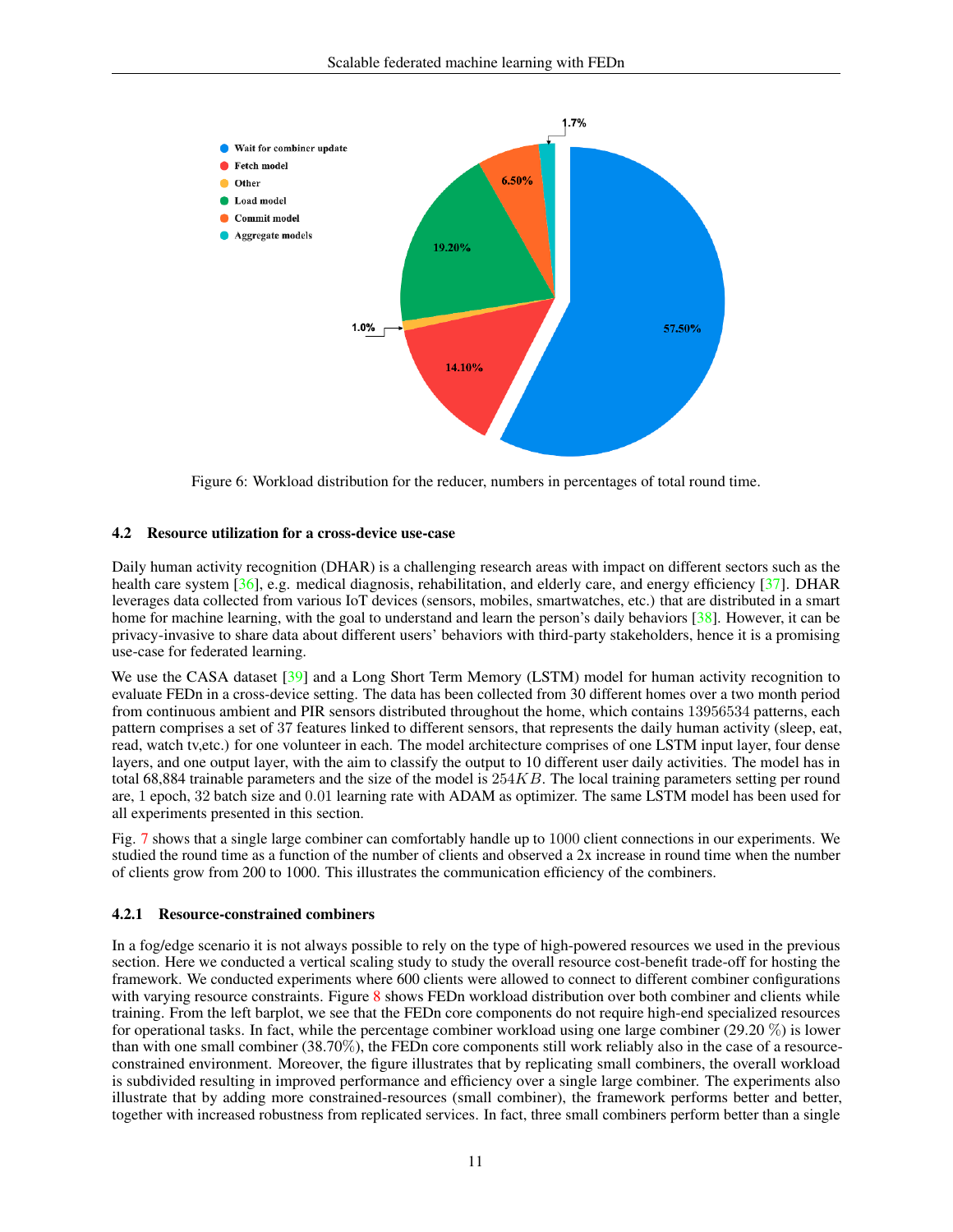

<span id="page-10-0"></span>Figure 6: Workload distribution for the reducer, numbers in percentages of total round time.

#### 4.2 Resource utilization for a cross-device use-case

Daily human activity recognition (DHAR) is a challenging research areas with impact on different sectors such as the health care system [\[36\]](#page-13-24), e.g. medical diagnosis, rehabilitation, and elderly care, and energy efficiency [\[37\]](#page-14-0). DHAR leverages data collected from various IoT devices (sensors, mobiles, smartwatches, etc.) that are distributed in a smart home for machine learning, with the goal to understand and learn the person's daily behaviors [\[38\]](#page-14-1). However, it can be privacy-invasive to share data about different users' behaviors with third-party stakeholders, hence it is a promising use-case for federated learning.

We use the CASA dataset [\[39\]](#page-14-2) and a Long Short Term Memory (LSTM) model for human activity recognition to evaluate FEDn in a cross-device setting. The data has been collected from 30 different homes over a two month period from continuous ambient and PIR sensors distributed throughout the home, which contains 13956534 patterns, each pattern comprises a set of 37 features linked to different sensors, that represents the daily human activity (sleep, eat, read, watch tv,etc.) for one volunteer in each. The model architecture comprises of one LSTM input layer, four dense layers, and one output layer, with the aim to classify the output to 10 different user daily activities. The model has in total 68,884 trainable parameters and the size of the model is  $254KB$ . The local training parameters setting per round are, 1 epoch, 32 batch size and 0.01 learning rate with ADAM as optimizer. The same LSTM model has been used for all experiments presented in this section.

Fig. [7](#page-11-0) shows that a single large combiner can comfortably handle up to 1000 client connections in our experiments. We studied the round time as a function of the number of clients and observed a 2x increase in round time when the number of clients grow from 200 to 1000. This illustrates the communication efficiency of the combiners.

#### 4.2.1 Resource-constrained combiners

In a fog/edge scenario it is not always possible to rely on the type of high-powered resources we used in the previous section. Here we conducted a vertical scaling study to study the overall resource cost-benefit trade-off for hosting the framework. We conducted experiments where 600 clients were allowed to connect to different combiner configurations with varying resource constraints. Figure [8](#page-11-1) shows FEDn workload distribution over both combiner and clients while training. From the left barplot, we see that the FEDn core components do not require high-end specialized resources for operational tasks. In fact, while the percentage combiner workload using one large combiner (29.20 %) is lower than with one small combiner (38.70%), the FEDn core components still work reliably also in the case of a resourceconstrained environment. Moreover, the figure illustrates that by replicating small combiners, the overall workload is subdivided resulting in improved performance and efficiency over a single large combiner. The experiments also illustrate that by adding more constrained-resources (small combiner), the framework performs better and better, together with increased robustness from replicated services. In fact, three small combiners perform better than a single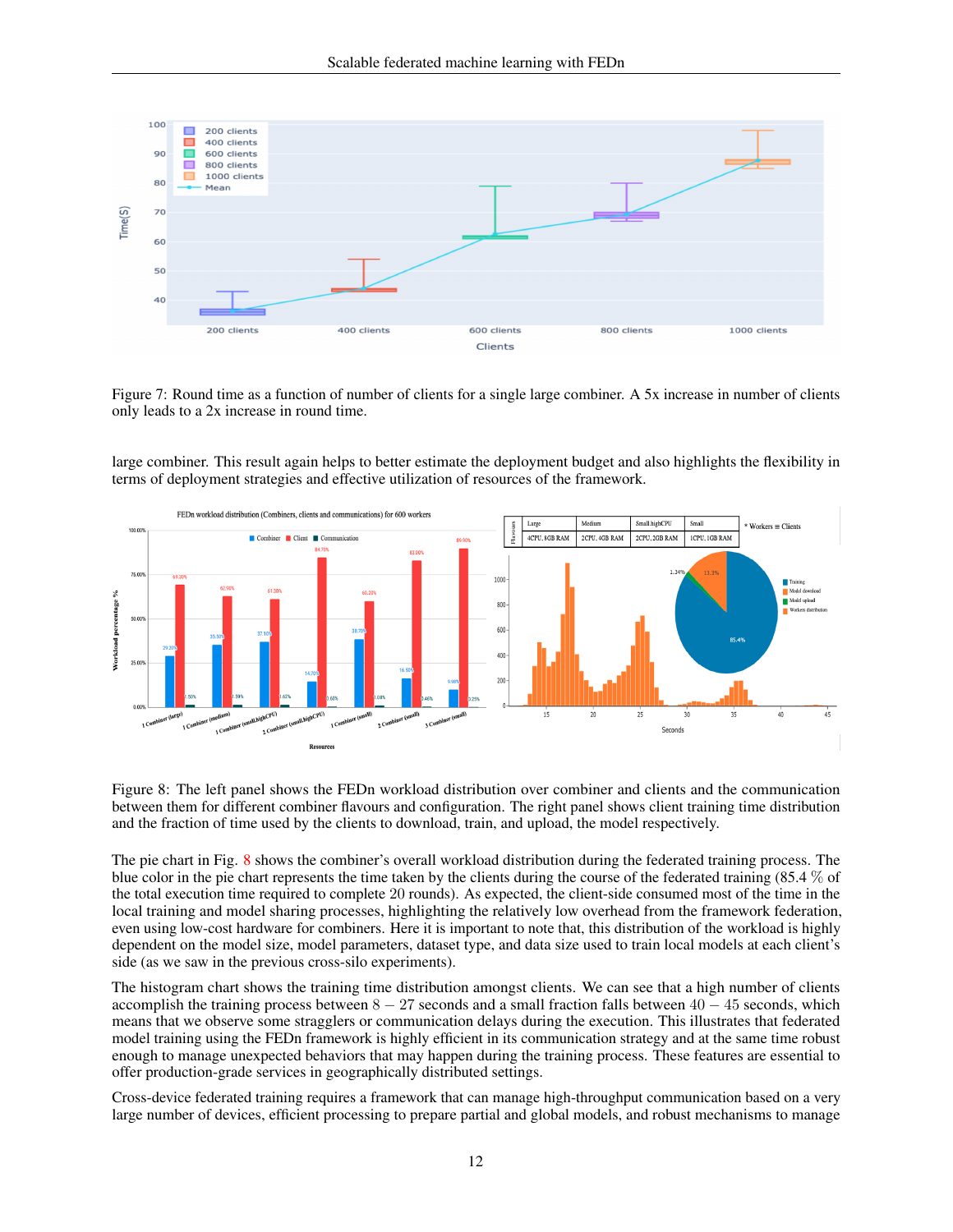

<span id="page-11-0"></span>Figure 7: Round time as a function of number of clients for a single large combiner. A 5x increase in number of clients only leads to a 2x increase in round time.

large combiner. This result again helps to better estimate the deployment budget and also highlights the flexibility in terms of deployment strategies and effective utilization of resources of the framework.



<span id="page-11-1"></span>Figure 8: The left panel shows the FEDn workload distribution over combiner and clients and the communication between them for different combiner flavours and configuration. The right panel shows client training time distribution and the fraction of time used by the clients to download, train, and upload, the model respectively.

The pie chart in Fig. [8](#page-11-1) shows the combiner's overall workload distribution during the federated training process. The blue color in the pie chart represents the time taken by the clients during the course of the federated training (85.4 % of the total execution time required to complete 20 rounds). As expected, the client-side consumed most of the time in the local training and model sharing processes, highlighting the relatively low overhead from the framework federation, even using low-cost hardware for combiners. Here it is important to note that, this distribution of the workload is highly dependent on the model size, model parameters, dataset type, and data size used to train local models at each client's side (as we saw in the previous cross-silo experiments).

The histogram chart shows the training time distribution amongst clients. We can see that a high number of clients accomplish the training process between  $8 - 27$  seconds and a small fraction falls between  $40 - 45$  seconds, which means that we observe some stragglers or communication delays during the execution. This illustrates that federated model training using the FEDn framework is highly efficient in its communication strategy and at the same time robust enough to manage unexpected behaviors that may happen during the training process. These features are essential to offer production-grade services in geographically distributed settings.

Cross-device federated training requires a framework that can manage high-throughput communication based on a very large number of devices, efficient processing to prepare partial and global models, and robust mechanisms to manage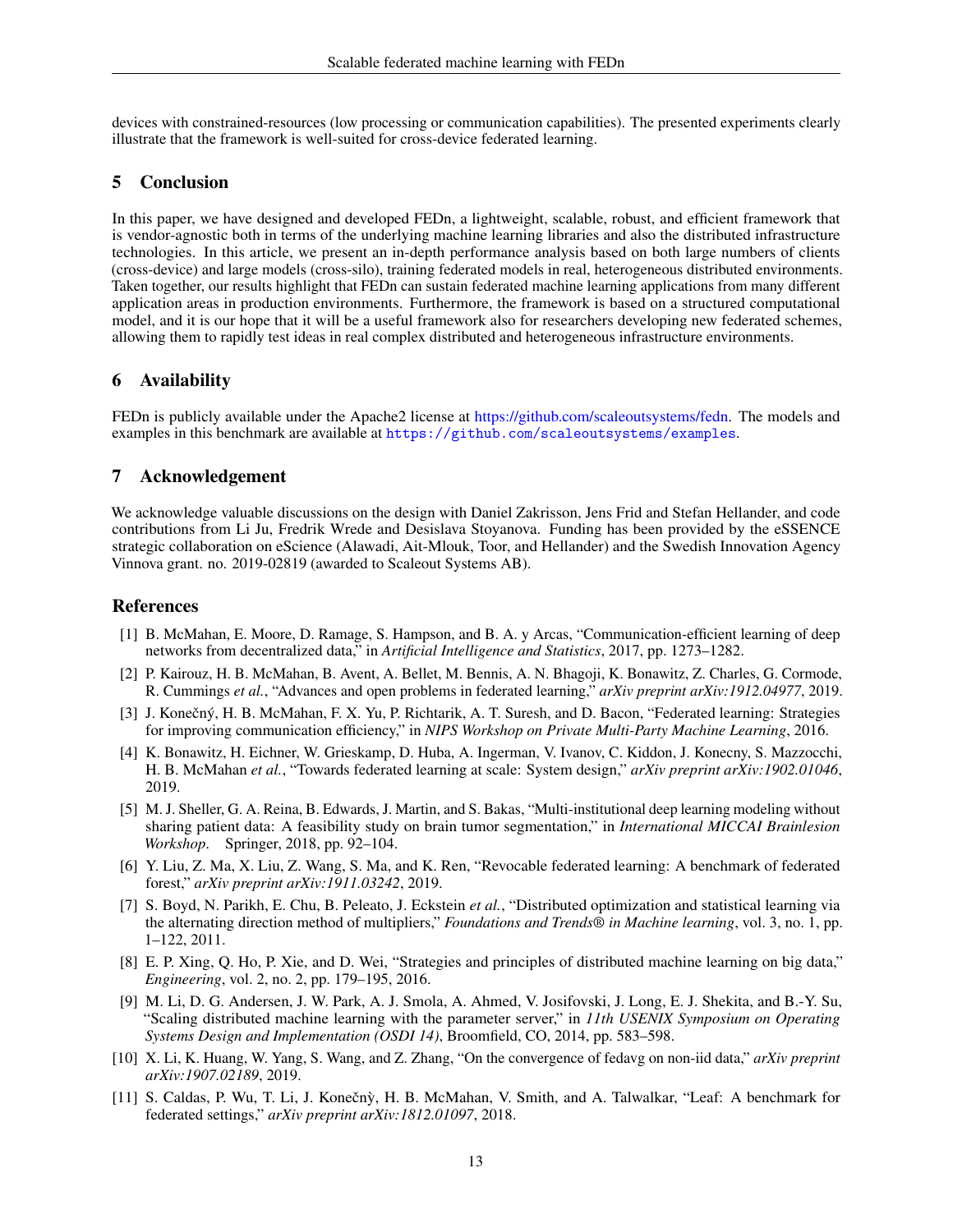devices with constrained-resources (low processing or communication capabilities). The presented experiments clearly illustrate that the framework is well-suited for cross-device federated learning.

# <span id="page-12-11"></span>5 Conclusion

In this paper, we have designed and developed FEDn, a lightweight, scalable, robust, and efficient framework that is vendor-agnostic both in terms of the underlying machine learning libraries and also the distributed infrastructure technologies. In this article, we present an in-depth performance analysis based on both large numbers of clients (cross-device) and large models (cross-silo), training federated models in real, heterogeneous distributed environments. Taken together, our results highlight that FEDn can sustain federated machine learning applications from many different application areas in production environments. Furthermore, the framework is based on a structured computational model, and it is our hope that it will be a useful framework also for researchers developing new federated schemes, allowing them to rapidly test ideas in real complex distributed and heterogeneous infrastructure environments.

### 6 Availability

FEDn is publicly available under the Apache2 license at [https://github.com/scaleoutsystems/fedn.](https://github.com/scaleoutsystems/fedn) The models and examples in this benchmark are available at <https://github.com/scaleoutsystems/examples>.

### 7 Acknowledgement

We acknowledge valuable discussions on the design with Daniel Zakrisson, Jens Frid and Stefan Hellander, and code contributions from Li Ju, Fredrik Wrede and Desislava Stoyanova. Funding has been provided by the eSSENCE strategic collaboration on eScience (Alawadi, Ait-Mlouk, Toor, and Hellander) and the Swedish Innovation Agency Vinnova grant. no. 2019-02819 (awarded to Scaleout Systems AB).

# References

- <span id="page-12-0"></span>[1] B. McMahan, E. Moore, D. Ramage, S. Hampson, and B. A. y Arcas, "Communication-efficient learning of deep networks from decentralized data," in *Artificial Intelligence and Statistics*, 2017, pp. 1273–1282.
- <span id="page-12-1"></span>[2] P. Kairouz, H. B. McMahan, B. Avent, A. Bellet, M. Bennis, A. N. Bhagoji, K. Bonawitz, Z. Charles, G. Cormode, R. Cummings *et al.*, "Advances and open problems in federated learning," *arXiv preprint arXiv:1912.04977*, 2019.
- <span id="page-12-2"></span>[3] J. Konečný, H. B. McMahan, F. X. Yu, P. Richtarik, A. T. Suresh, and D. Bacon, "Federated learning: Strategies for improving communication efficiency," in *NIPS Workshop on Private Multi-Party Machine Learning*, 2016.
- <span id="page-12-3"></span>[4] K. Bonawitz, H. Eichner, W. Grieskamp, D. Huba, A. Ingerman, V. Ivanov, C. Kiddon, J. Konecny, S. Mazzocchi, H. B. McMahan *et al.*, "Towards federated learning at scale: System design," *arXiv preprint arXiv:1902.01046*, 2019.
- <span id="page-12-4"></span>[5] M. J. Sheller, G. A. Reina, B. Edwards, J. Martin, and S. Bakas, "Multi-institutional deep learning modeling without sharing patient data: A feasibility study on brain tumor segmentation," in *International MICCAI Brainlesion Workshop*. Springer, 2018, pp. 92–104.
- <span id="page-12-5"></span>[6] Y. Liu, Z. Ma, X. Liu, Z. Wang, S. Ma, and K. Ren, "Revocable federated learning: A benchmark of federated forest," *arXiv preprint arXiv:1911.03242*, 2019.
- <span id="page-12-6"></span>[7] S. Boyd, N. Parikh, E. Chu, B. Peleato, J. Eckstein *et al.*, "Distributed optimization and statistical learning via the alternating direction method of multipliers," *Foundations and Trends® in Machine learning*, vol. 3, no. 1, pp. 1–122, 2011.
- <span id="page-12-7"></span>[8] E. P. Xing, Q. Ho, P. Xie, and D. Wei, "Strategies and principles of distributed machine learning on big data," *Engineering*, vol. 2, no. 2, pp. 179–195, 2016.
- <span id="page-12-8"></span>[9] M. Li, D. G. Andersen, J. W. Park, A. J. Smola, A. Ahmed, V. Josifovski, J. Long, E. J. Shekita, and B.-Y. Su, "Scaling distributed machine learning with the parameter server," in *11th USENIX Symposium on Operating Systems Design and Implementation (OSDI 14)*, Broomfield, CO, 2014, pp. 583–598.
- <span id="page-12-9"></span>[10] X. Li, K. Huang, W. Yang, S. Wang, and Z. Zhang, "On the convergence of fedavg on non-iid data," *arXiv preprint arXiv:1907.02189*, 2019.
- <span id="page-12-10"></span>[11] S. Caldas, P. Wu, T. Li, J. Konečnỳ, H. B. McMahan, V. Smith, and A. Talwalkar, "Leaf: A benchmark for federated settings," *arXiv preprint arXiv:1812.01097*, 2018.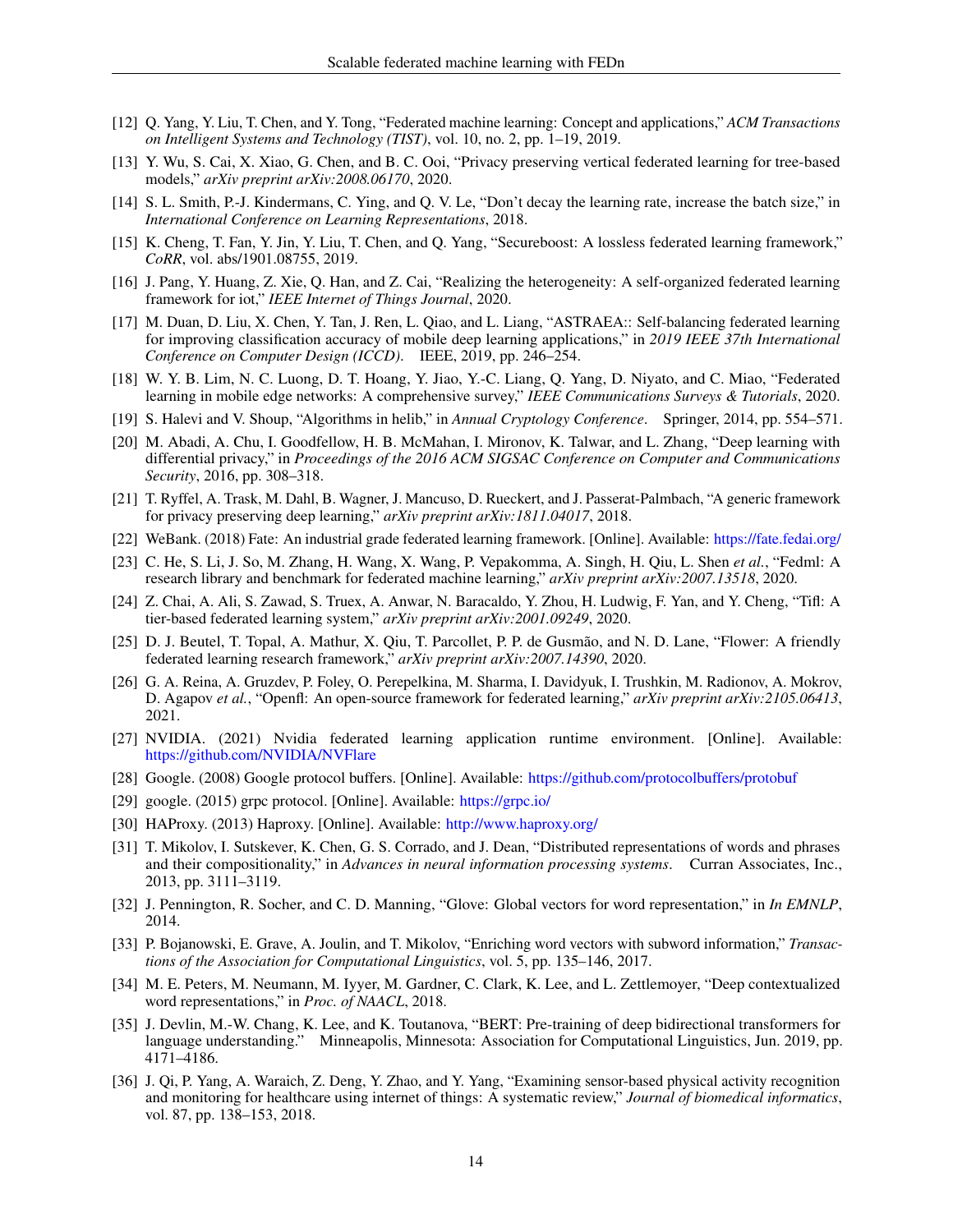- <span id="page-13-0"></span>[12] Q. Yang, Y. Liu, T. Chen, and Y. Tong, "Federated machine learning: Concept and applications," *ACM Transactions on Intelligent Systems and Technology (TIST)*, vol. 10, no. 2, pp. 1–19, 2019.
- <span id="page-13-1"></span>[13] Y. Wu, S. Cai, X. Xiao, G. Chen, and B. C. Ooi, "Privacy preserving vertical federated learning for tree-based models," *arXiv preprint arXiv:2008.06170*, 2020.
- <span id="page-13-2"></span>[14] S. L. Smith, P.-J. Kindermans, C. Ying, and Q. V. Le, "Don't decay the learning rate, increase the batch size," in *International Conference on Learning Representations*, 2018.
- <span id="page-13-3"></span>[15] K. Cheng, T. Fan, Y. Jin, Y. Liu, T. Chen, and Q. Yang, "Secureboost: A lossless federated learning framework," *CoRR*, vol. abs/1901.08755, 2019.
- <span id="page-13-4"></span>[16] J. Pang, Y. Huang, Z. Xie, Q. Han, and Z. Cai, "Realizing the heterogeneity: A self-organized federated learning framework for iot," *IEEE Internet of Things Journal*, 2020.
- <span id="page-13-5"></span>[17] M. Duan, D. Liu, X. Chen, Y. Tan, J. Ren, L. Qiao, and L. Liang, "ASTRAEA:: Self-balancing federated learning for improving classification accuracy of mobile deep learning applications," in *2019 IEEE 37th International Conference on Computer Design (ICCD)*. IEEE, 2019, pp. 246–254.
- <span id="page-13-6"></span>[18] W. Y. B. Lim, N. C. Luong, D. T. Hoang, Y. Jiao, Y.-C. Liang, Q. Yang, D. Niyato, and C. Miao, "Federated learning in mobile edge networks: A comprehensive survey," *IEEE Communications Surveys & Tutorials*, 2020.
- <span id="page-13-7"></span>[19] S. Halevi and V. Shoup, "Algorithms in helib," in *Annual Cryptology Conference*. Springer, 2014, pp. 554–571.
- <span id="page-13-8"></span>[20] M. Abadi, A. Chu, I. Goodfellow, H. B. McMahan, I. Mironov, K. Talwar, and L. Zhang, "Deep learning with differential privacy," in *Proceedings of the 2016 ACM SIGSAC Conference on Computer and Communications Security*, 2016, pp. 308–318.
- <span id="page-13-9"></span>[21] T. Ryffel, A. Trask, M. Dahl, B. Wagner, J. Mancuso, D. Rueckert, and J. Passerat-Palmbach, "A generic framework for privacy preserving deep learning," *arXiv preprint arXiv:1811.04017*, 2018.
- <span id="page-13-10"></span>[22] WeBank. (2018) Fate: An industrial grade federated learning framework. [Online]. Available: <https://fate.fedai.org/>
- <span id="page-13-11"></span>[23] C. He, S. Li, J. So, M. Zhang, H. Wang, X. Wang, P. Vepakomma, A. Singh, H. Qiu, L. Shen *et al.*, "Fedml: A research library and benchmark for federated machine learning," *arXiv preprint arXiv:2007.13518*, 2020.
- <span id="page-13-12"></span>[24] Z. Chai, A. Ali, S. Zawad, S. Truex, A. Anwar, N. Baracaldo, Y. Zhou, H. Ludwig, F. Yan, and Y. Cheng, "Tifl: A tier-based federated learning system," *arXiv preprint arXiv:2001.09249*, 2020.
- <span id="page-13-13"></span>[25] D. J. Beutel, T. Topal, A. Mathur, X. Qiu, T. Parcollet, P. P. de Gusmão, and N. D. Lane, "Flower: A friendly federated learning research framework," *arXiv preprint arXiv:2007.14390*, 2020.
- <span id="page-13-14"></span>[26] G. A. Reina, A. Gruzdev, P. Foley, O. Perepelkina, M. Sharma, I. Davidyuk, I. Trushkin, M. Radionov, A. Mokrov, D. Agapov *et al.*, "Openfl: An open-source framework for federated learning," *arXiv preprint arXiv:2105.06413*, 2021.
- <span id="page-13-15"></span>[27] NVIDIA. (2021) Nvidia federated learning application runtime environment. [Online]. Available: <https://github.com/NVIDIA/NVFlare>
- <span id="page-13-16"></span>[28] Google. (2008) Google protocol buffers. [Online]. Available: <https://github.com/protocolbuffers/protobuf>
- <span id="page-13-17"></span>[29] google. (2015) grpc protocol. [Online]. Available: <https://grpc.io/>
- <span id="page-13-18"></span>[30] HAProxy. (2013) Haproxy. [Online]. Available: <http://www.haproxy.org/>
- <span id="page-13-19"></span>[31] T. Mikolov, I. Sutskever, K. Chen, G. S. Corrado, and J. Dean, "Distributed representations of words and phrases and their compositionality," in *Advances in neural information processing systems*. Curran Associates, Inc., 2013, pp. 3111–3119.
- <span id="page-13-20"></span>[32] J. Pennington, R. Socher, and C. D. Manning, "Glove: Global vectors for word representation," in *In EMNLP*, 2014.
- <span id="page-13-21"></span>[33] P. Bojanowski, E. Grave, A. Joulin, and T. Mikolov, "Enriching word vectors with subword information," *Transactions of the Association for Computational Linguistics*, vol. 5, pp. 135–146, 2017.
- <span id="page-13-22"></span>[34] M. E. Peters, M. Neumann, M. Iyyer, M. Gardner, C. Clark, K. Lee, and L. Zettlemoyer, "Deep contextualized word representations," in *Proc. of NAACL*, 2018.
- <span id="page-13-23"></span>[35] J. Devlin, M.-W. Chang, K. Lee, and K. Toutanova, "BERT: Pre-training of deep bidirectional transformers for language understanding." Minneapolis, Minnesota: Association for Computational Linguistics, Jun. 2019, pp. 4171–4186.
- <span id="page-13-24"></span>[36] J. Qi, P. Yang, A. Waraich, Z. Deng, Y. Zhao, and Y. Yang, "Examining sensor-based physical activity recognition and monitoring for healthcare using internet of things: A systematic review," *Journal of biomedical informatics*, vol. 87, pp. 138–153, 2018.